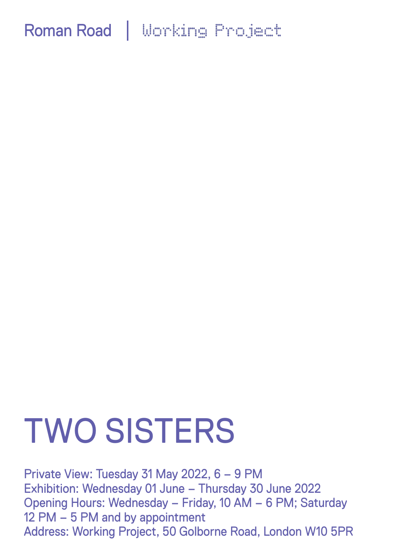# TWO SISTERS

Private View: Tuesday 31 May 2022, 6 – 9 PM Exhibition: Wednesday 01 June – Thursday 30 June 2022 Opening Hours: Wednesday – Friday, 10 AM – 6 PM; Saturday 12 PM – 5 PM and by appointment Address: Working Project, 50 Golborne Road, London W10 5PR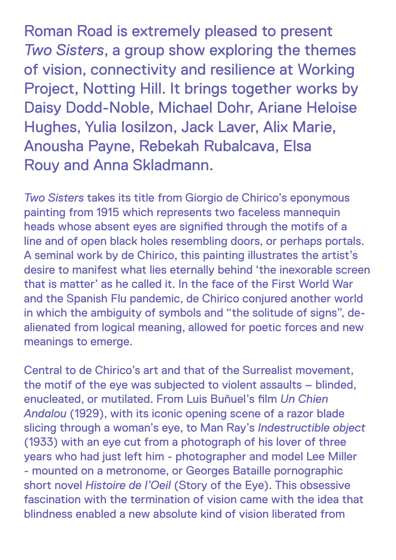Roman Road is extremely pleased to present *Two Sisters*, a group show exploring the themes of vision, connectivity and resilience at Working Project, Notting Hill. It brings together works by Daisy Dodd-Noble, Michael Dohr, Ariane Heloise Hughes, Yulia Iosilzon, Jack Laver, Alix Marie, Anousha Payne, Rebekah Rubalcava, Elsa Rouy and Anna Skladmann.

*Two Sisters* takes its title from Giorgio de Chirico's eponymous painting from 1915 which represents two faceless mannequin heads whose absent eyes are signified through the motifs of a line and of open black holes resembling doors, or perhaps portals. A seminal work by de Chirico, this painting illustrates the artist's desire to manifest what lies eternally behind 'the inexorable screen that is matter' as he called it. In the face of the First World War and the Spanish Flu pandemic, de Chirico conjured another world in which the ambiguity of symbols and "the solitude of signs", dealienated from logical meaning, allowed for poetic forces and new meanings to emerge.

Central to de Chirico's art and that of the Surrealist movement, the motif of the eye was subjected to violent assaults – blinded, enucleated, or mutilated. From Luis Buñuel's film *Un Chien Andalou* (1929), with its iconic opening scene of a razor blade slicing through a woman's eye, to Man Ray's *Indestructible object* (1933) with an eye cut from a photograph of his lover of three years who had just left him - photographer and model Lee Miller - mounted on a metronome, or Georges Bataille pornographic short novel *Histoire de l'Oeil* (Story of the Eye). This obsessive fascination with the termination of vision came with the idea that blindness enabled a new absolute kind of vision liberated from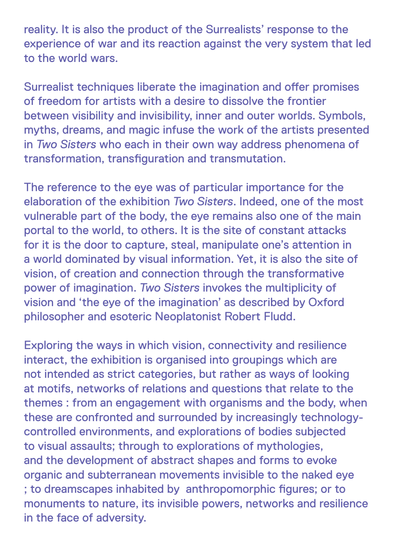reality. It is also the product of the Surrealists' response to the experience of war and its reaction against the very system that led to the world wars.

Surrealist techniques liberate the imagination and offer promises of freedom for artists with a desire to dissolve the frontier between visibility and invisibility, inner and outer worlds. Symbols, myths, dreams, and magic infuse the work of the artists presented in *Two Sisters* who each in their own way address phenomena of transformation, transfiguration and transmutation.

The reference to the eye was of particular importance for the elaboration of the exhibition *Two Sisters*. Indeed, one of the most vulnerable part of the body, the eye remains also one of the main portal to the world, to others. It is the site of constant attacks for it is the door to capture, steal, manipulate one's attention in a world dominated by visual information. Yet, it is also the site of vision, of creation and connection through the transformative power of imagination. *Two Sisters* invokes the multiplicity of vision and 'the eye of the imagination' as described by Oxford philosopher and esoteric Neoplatonist Robert Fludd.

Exploring the ways in which vision, connectivity and resilience interact, the exhibition is organised into groupings which are not intended as strict categories, but rather as ways of looking at motifs, networks of relations and questions that relate to the themes : from an engagement with organisms and the body, when these are confronted and surrounded by increasingly technologycontrolled environments, and explorations of bodies subjected to visual assaults; through to explorations of mythologies, and the development of abstract shapes and forms to evoke organic and subterranean movements invisible to the naked eye ; to dreamscapes inhabited by anthropomorphic figures; or to monuments to nature, its invisible powers, networks and resilience in the face of adversity.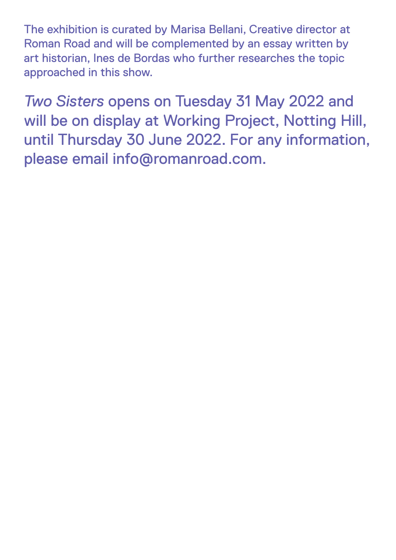The exhibition is curated by Marisa Bellani, Creative director at Roman Road and will be complemented by an essay written by art historian, Ines de Bordas who further researches the topic approached in this show.

*Two Sisters* opens on Tuesday 31 May 2022 and will be on display at Working Project, Notting Hill, until Thursday 30 June 2022. For any information, please email info@romanroad.com.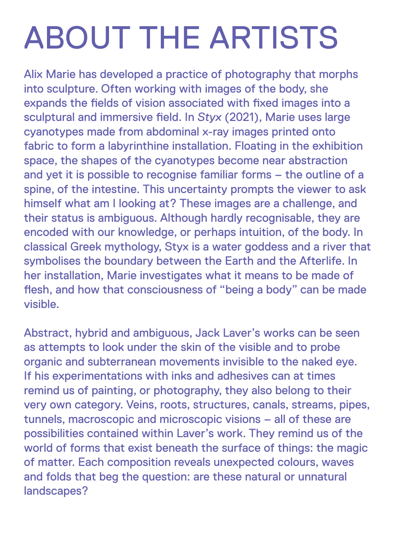### ABOUT THE ARTISTS

Alix Marie has developed a practice of photography that morphs into sculpture. Often working with images of the body, she expands the fields of vision associated with fixed images into a sculptural and immersive field. In *Styx* (2021), Marie uses large cyanotypes made from abdominal x-ray images printed onto fabric to form a labyrinthine installation. Floating in the exhibition space, the shapes of the cyanotypes become near abstraction and yet it is possible to recognise familiar forms – the outline of a spine, of the intestine. This uncertainty prompts the viewer to ask himself what am I looking at? These images are a challenge, and their status is ambiguous. Although hardly recognisable, they are encoded with our knowledge, or perhaps intuition, of the body. In classical Greek mythology, Styx is a water goddess and a river that symbolises the boundary between the Earth and the Afterlife. In her installation, Marie investigates what it means to be made of flesh, and how that consciousness of "being a body" can be made visible.

Abstract, hybrid and ambiguous, Jack Laver's works can be seen as attempts to look under the skin of the visible and to probe organic and subterranean movements invisible to the naked eye. If his experimentations with inks and adhesives can at times remind us of painting, or photography, they also belong to their very own category. Veins, roots, structures, canals, streams, pipes, tunnels, macroscopic and microscopic visions – all of these are possibilities contained within Laver's work. They remind us of the world of forms that exist beneath the surface of things: the magic of matter. Each composition reveals unexpected colours, waves and folds that beg the question: are these natural or unnatural landscapes?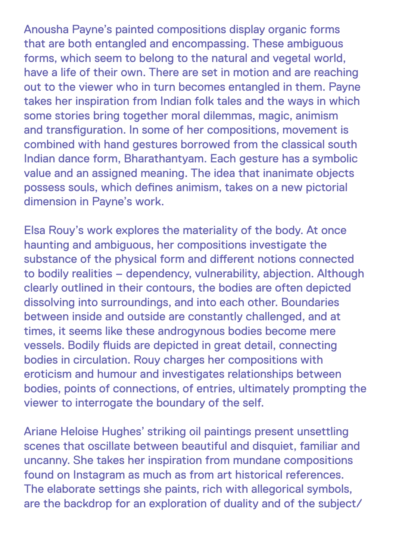Anousha Payne's painted compositions display organic forms that are both entangled and encompassing. These ambiguous forms, which seem to belong to the natural and vegetal world, have a life of their own. There are set in motion and are reaching out to the viewer who in turn becomes entangled in them. Payne takes her inspiration from Indian folk tales and the ways in which some stories bring together moral dilemmas, magic, animism and transfiguration. In some of her compositions, movement is combined with hand gestures borrowed from the classical south Indian dance form, Bharathantyam. Each gesture has a symbolic value and an assigned meaning. The idea that inanimate objects possess souls, which defines animism, takes on a new pictorial dimension in Payne's work.

Elsa Rouy's work explores the materiality of the body. At once haunting and ambiguous, her compositions investigate the substance of the physical form and different notions connected to bodily realities – dependency, vulnerability, abjection. Although clearly outlined in their contours, the bodies are often depicted dissolving into surroundings, and into each other. Boundaries between inside and outside are constantly challenged, and at times, it seems like these androgynous bodies become mere vessels. Bodily fluids are depicted in great detail, connecting bodies in circulation. Rouy charges her compositions with eroticism and humour and investigates relationships between bodies, points of connections, of entries, ultimately prompting the viewer to interrogate the boundary of the self.

Ariane Heloise Hughes' striking oil paintings present unsettling scenes that oscillate between beautiful and disquiet, familiar and uncanny. She takes her inspiration from mundane compositions found on Instagram as much as from art historical references. The elaborate settings she paints, rich with allegorical symbols, are the backdrop for an exploration of duality and of the subject/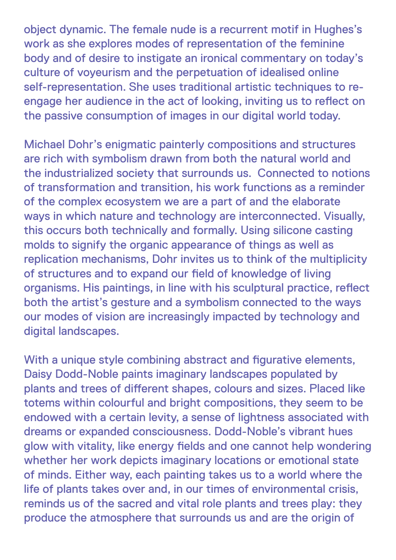object dynamic. The female nude is a recurrent motif in Hughes's work as she explores modes of representation of the feminine body and of desire to instigate an ironical commentary on today's culture of voyeurism and the perpetuation of idealised online self-representation. She uses traditional artistic techniques to reengage her audience in the act of looking, inviting us to reflect on the passive consumption of images in our digital world today.

Michael Dohr's enigmatic painterly compositions and structures are rich with symbolism drawn from both the natural world and the industrialized society that surrounds us. Connected to notions of transformation and transition, his work functions as a reminder of the complex ecosystem we are a part of and the elaborate ways in which nature and technology are interconnected. Visually, this occurs both technically and formally. Using silicone casting molds to signify the organic appearance of things as well as replication mechanisms, Dohr invites us to think of the multiplicity of structures and to expand our field of knowledge of living organisms. His paintings, in line with his sculptural practice, reflect both the artist's gesture and a symbolism connected to the ways our modes of vision are increasingly impacted by technology and digital landscapes.

With a unique style combining abstract and figurative elements, Daisy Dodd-Noble paints imaginary landscapes populated by plants and trees of different shapes, colours and sizes. Placed like totems within colourful and bright compositions, they seem to be endowed with a certain levity, a sense of lightness associated with dreams or expanded consciousness. Dodd-Noble's vibrant hues glow with vitality, like energy fields and one cannot help wondering whether her work depicts imaginary locations or emotional state of minds. Either way, each painting takes us to a world where the life of plants takes over and, in our times of environmental crisis, reminds us of the sacred and vital role plants and trees play: they produce the atmosphere that surrounds us and are the origin of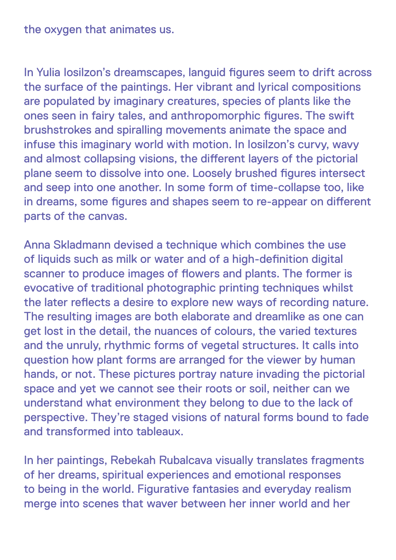#### the oxygen that animates us.

In Yulia Iosilzon's dreamscapes, languid figures seem to drift across the surface of the paintings. Her vibrant and lyrical compositions are populated by imaginary creatures, species of plants like the ones seen in fairy tales, and anthropomorphic figures. The swift brushstrokes and spiralling movements animate the space and infuse this imaginary world with motion. In Iosilzon's curvy, wavy and almost collapsing visions, the different layers of the pictorial plane seem to dissolve into one. Loosely brushed figures intersect and seep into one another. In some form of time-collapse too, like in dreams, some figures and shapes seem to re-appear on different parts of the canvas.

Anna Skladmann devised a technique which combines the use of liquids such as milk or water and of a high-definition digital scanner to produce images of flowers and plants. The former is evocative of traditional photographic printing techniques whilst the later reflects a desire to explore new ways of recording nature. The resulting images are both elaborate and dreamlike as one can get lost in the detail, the nuances of colours, the varied textures and the unruly, rhythmic forms of vegetal structures. It calls into question how plant forms are arranged for the viewer by human hands, or not. These pictures portray nature invading the pictorial space and yet we cannot see their roots or soil, neither can we understand what environment they belong to due to the lack of perspective. They're staged visions of natural forms bound to fade and transformed into tableaux.

In her paintings, Rebekah Rubalcava visually translates fragments of her dreams, spiritual experiences and emotional responses to being in the world. Figurative fantasies and everyday realism merge into scenes that waver between her inner world and her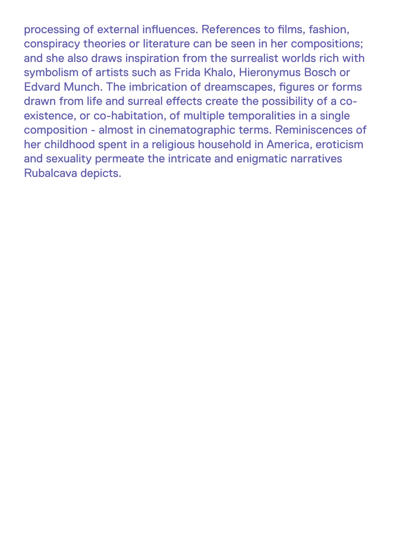processing of external influences. References to films, fashion, conspiracy theories or literature can be seen in her compositions; and she also draws inspiration from the surrealist worlds rich with symbolism of artists such as Frida Khalo, Hieronymus Bosch or Edvard Munch. The imbrication of dreamscapes, figures or forms drawn from life and surreal effects create the possibility of a coexistence, or co-habitation, of multiple temporalities in a single composition - almost in cinematographic terms. Reminiscences of her childhood spent in a religious household in America, eroticism and sexuality permeate the intricate and enigmatic narratives Rubalcava depicts.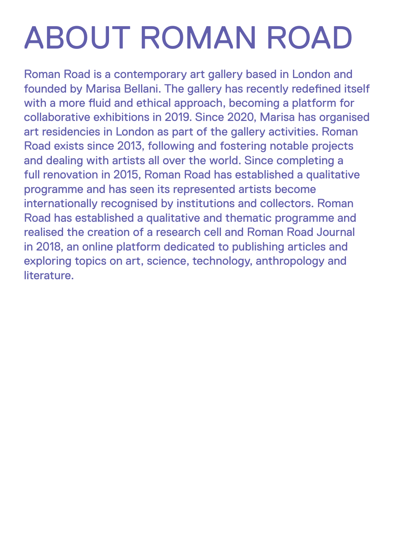## ABOUT ROMAN ROAD

Roman Road is a contemporary art gallery based in London and founded by Marisa Bellani. The gallery has recently redefined itself with a more fluid and ethical approach, becoming a platform for collaborative exhibitions in 2019. Since 2020, Marisa has organised art residencies in London as part of the gallery activities. Roman Road exists since 2013, following and fostering notable projects and dealing with artists all over the world. Since completing a full renovation in 2015, Roman Road has established a qualitative programme and has seen its represented artists become internationally recognised by institutions and collectors. Roman Road has established a qualitative and thematic programme and realised the creation of a research cell and Roman Road Journal in 2018, an online platform dedicated to publishing articles and exploring topics on art, science, technology, anthropology and literature.